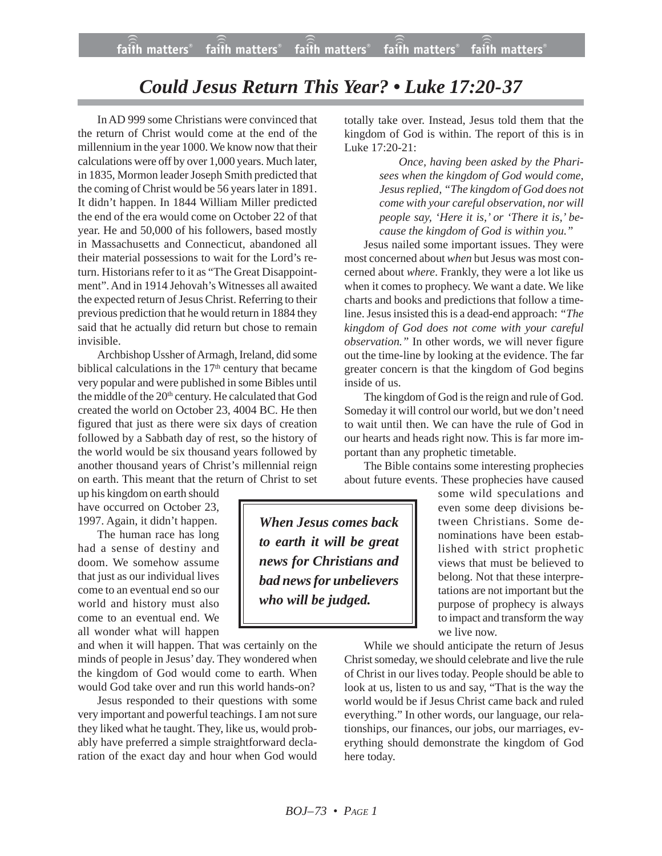## *Could Jesus Return This Year? • Luke 17:20-37*

In AD 999 some Christians were convinced that the return of Christ would come at the end of the millennium in the year 1000. We know now that their calculations were off by over 1,000 years. Much later, in 1835, Mormon leader Joseph Smith predicted that the coming of Christ would be 56 years later in 1891. It didn't happen. In 1844 William Miller predicted the end of the era would come on October 22 of that year. He and 50,000 of his followers, based mostly in Massachusetts and Connecticut, abandoned all their material possessions to wait for the Lord's return. Historians refer to it as "The Great Disappointment". And in 1914 Jehovah's Witnesses all awaited the expected return of Jesus Christ. Referring to their previous prediction that he would return in 1884 they said that he actually did return but chose to remain invisible.

Archbishop Ussher of Armagh, Ireland, did some biblical calculations in the 17<sup>th</sup> century that became very popular and were published in some Bibles until the middle of the 20<sup>th</sup> century. He calculated that God created the world on October 23, 4004 BC. He then figured that just as there were six days of creation followed by a Sabbath day of rest, so the history of the world would be six thousand years followed by another thousand years of Christ's millennial reign on earth. This meant that the return of Christ to set

up his kingdom on earth should have occurred on October 23, 1997. Again, it didn't happen.

The human race has long had a sense of destiny and doom. We somehow assume that just as our individual lives come to an eventual end so our world and history must also come to an eventual end. We all wonder what will happen

and when it will happen. That was certainly on the minds of people in Jesus' day. They wondered when the kingdom of God would come to earth. When would God take over and run this world hands-on?

Jesus responded to their questions with some very important and powerful teachings. I am not sure they liked what he taught. They, like us, would probably have preferred a simple straightforward declaration of the exact day and hour when God would totally take over. Instead, Jesus told them that the kingdom of God is within. The report of this is in Luke 17:20-21:

> *Once, having been asked by the Pharisees when the kingdom of God would come, Jesus replied, "The kingdom of God does not come with your careful observation, nor will people say, 'Here it is,' or 'There it is,' because the kingdom of God is within you."*

Jesus nailed some important issues. They were most concerned about *when* but Jesus was most concerned about *where*. Frankly, they were a lot like us when it comes to prophecy. We want a date. We like charts and books and predictions that follow a timeline. Jesus insisted this is a dead-end approach: *"The kingdom of God does not come with your careful observation."* In other words, we will never figure out the time-line by looking at the evidence. The far greater concern is that the kingdom of God begins inside of us.

The kingdom of God is the reign and rule of God. Someday it will control our world, but we don't need to wait until then. We can have the rule of God in our hearts and heads right now. This is far more important than any prophetic timetable.

The Bible contains some interesting prophecies about future events. These prophecies have caused

some wild speculations and even some deep divisions between Christians. Some denominations have been established with strict prophetic views that must be believed to belong. Not that these interpretations are not important but the purpose of prophecy is always to impact and transform the way we live now.

While we should anticipate the return of Jesus Christ someday, we should celebrate and live the rule of Christ in our lives today. People should be able to look at us, listen to us and say, "That is the way the world would be if Jesus Christ came back and ruled everything." In other words, our language, our relationships, our finances, our jobs, our marriages, everything should demonstrate the kingdom of God here today.

*When Jesus comes back to earth it will be great news for Christians and bad news for unbelievers who will be judged.*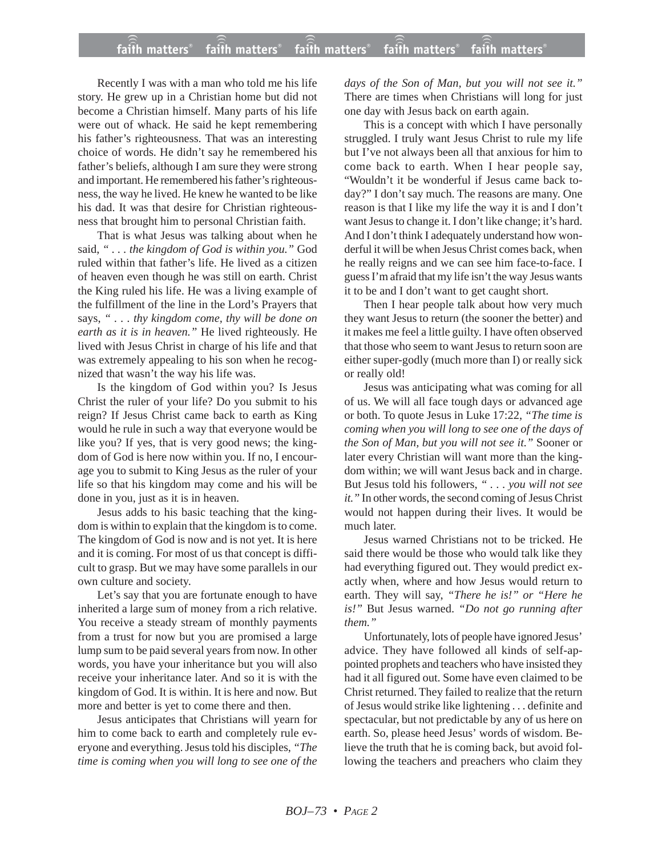Recently I was with a man who told me his life story. He grew up in a Christian home but did not become a Christian himself. Many parts of his life were out of whack. He said he kept remembering his father's righteousness. That was an interesting choice of words. He didn't say he remembered his father's beliefs, although I am sure they were strong and important. He remembered his father's righteousness, the way he lived. He knew he wanted to be like his dad. It was that desire for Christian righteousness that brought him to personal Christian faith.

That is what Jesus was talking about when he said, *" . . . the kingdom of God is within you."* God ruled within that father's life. He lived as a citizen of heaven even though he was still on earth. Christ the King ruled his life. He was a living example of the fulfillment of the line in the Lord's Prayers that says, *" . . . thy kingdom come, thy will be done on earth as it is in heaven."* He lived righteously. He lived with Jesus Christ in charge of his life and that was extremely appealing to his son when he recognized that wasn't the way his life was.

Is the kingdom of God within you? Is Jesus Christ the ruler of your life? Do you submit to his reign? If Jesus Christ came back to earth as King would he rule in such a way that everyone would be like you? If yes, that is very good news; the kingdom of God is here now within you. If no, I encourage you to submit to King Jesus as the ruler of your life so that his kingdom may come and his will be done in you, just as it is in heaven.

Jesus adds to his basic teaching that the kingdom is within to explain that the kingdom is to come. The kingdom of God is now and is not yet. It is here and it is coming. For most of us that concept is difficult to grasp. But we may have some parallels in our own culture and society.

Let's say that you are fortunate enough to have inherited a large sum of money from a rich relative. You receive a steady stream of monthly payments from a trust for now but you are promised a large lump sum to be paid several years from now. In other words, you have your inheritance but you will also receive your inheritance later. And so it is with the kingdom of God. It is within. It is here and now. But more and better is yet to come there and then.

Jesus anticipates that Christians will yearn for him to come back to earth and completely rule everyone and everything. Jesus told his disciples, *"The time is coming when you will long to see one of the* *days of the Son of Man, but you will not see it."* There are times when Christians will long for just one day with Jesus back on earth again.

This is a concept with which I have personally struggled. I truly want Jesus Christ to rule my life but I've not always been all that anxious for him to come back to earth. When I hear people say, "Wouldn't it be wonderful if Jesus came back today?" I don't say much. The reasons are many. One reason is that I like my life the way it is and I don't want Jesus to change it. I don't like change; it's hard. And I don't think I adequately understand how wonderful it will be when Jesus Christ comes back, when he really reigns and we can see him face-to-face. I guess I'm afraid that my life isn't the way Jesus wants it to be and I don't want to get caught short.

Then I hear people talk about how very much they want Jesus to return (the sooner the better) and it makes me feel a little guilty. I have often observed that those who seem to want Jesus to return soon are either super-godly (much more than I) or really sick or really old!

Jesus was anticipating what was coming for all of us. We will all face tough days or advanced age or both. To quote Jesus in Luke 17:22, *"The time is coming when you will long to see one of the days of the Son of Man, but you will not see it."* Sooner or later every Christian will want more than the kingdom within; we will want Jesus back and in charge. But Jesus told his followers, *" . . . you will not see it."* In other words, the second coming of Jesus Christ would not happen during their lives. It would be much later.

Jesus warned Christians not to be tricked. He said there would be those who would talk like they had everything figured out. They would predict exactly when, where and how Jesus would return to earth. They will say, *"There he is!" or "Here he is!"* But Jesus warned. *"Do not go running after them."*

Unfortunately, lots of people have ignored Jesus' advice. They have followed all kinds of self-appointed prophets and teachers who have insisted they had it all figured out. Some have even claimed to be Christ returned. They failed to realize that the return of Jesus would strike like lightening . . . definite and spectacular, but not predictable by any of us here on earth. So, please heed Jesus' words of wisdom. Believe the truth that he is coming back, but avoid following the teachers and preachers who claim they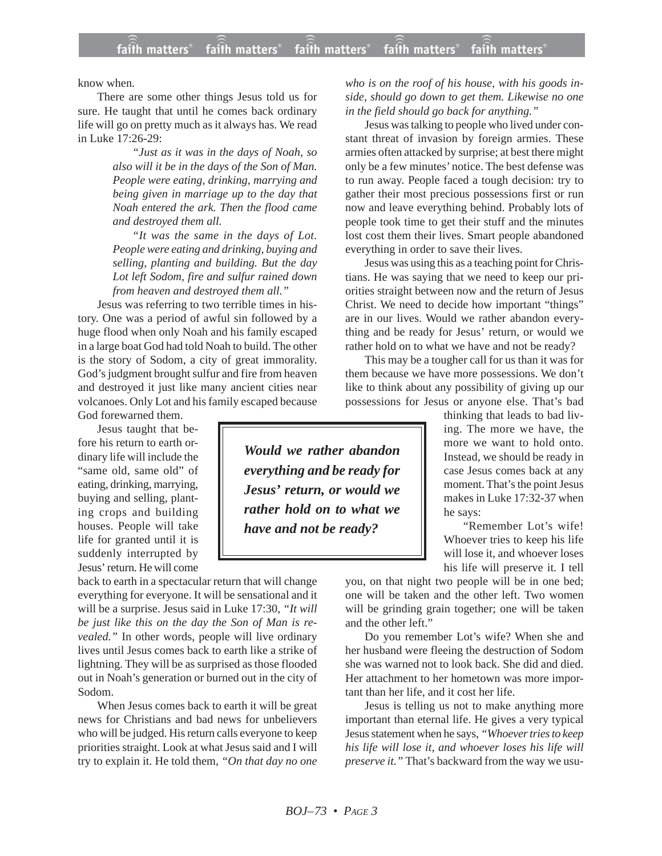know when.

There are some other things Jesus told us for sure. He taught that until he comes back ordinary life will go on pretty much as it always has. We read in Luke 17:26-29:

> *"Just as it was in the days of Noah, so also will it be in the days of the Son of Man. People were eating, drinking, marrying and being given in marriage up to the day that Noah entered the ark. Then the flood came and destroyed them all.*

> *"It was the same in the days of Lot. People were eating and drinking, buying and selling, planting and building. But the day Lot left Sodom, fire and sulfur rained down from heaven and destroyed them all."*

Jesus was referring to two terrible times in history. One was a period of awful sin followed by a huge flood when only Noah and his family escaped in a large boat God had told Noah to build. The other is the story of Sodom, a city of great immorality. God's judgment brought sulfur and fire from heaven and destroyed it just like many ancient cities near volcanoes. Only Lot and his family escaped because God forewarned them.

Jesus taught that before his return to earth ordinary life will include the "same old, same old" of eating, drinking, marrying, buying and selling, planting crops and building houses. People will take life for granted until it is suddenly interrupted by Jesus' return. He will come

back to earth in a spectacular return that will change everything for everyone. It will be sensational and it will be a surprise. Jesus said in Luke 17:30, *"It will be just like this on the day the Son of Man is revealed."* In other words, people will live ordinary lives until Jesus comes back to earth like a strike of lightning. They will be as surprised as those flooded out in Noah's generation or burned out in the city of Sodom.

When Jesus comes back to earth it will be great news for Christians and bad news for unbelievers who will be judged. His return calls everyone to keep priorities straight. Look at what Jesus said and I will try to explain it. He told them, *"On that day no one*

*who is on the roof of his house, with his goods inside, should go down to get them. Likewise no one in the field should go back for anything."*

Jesus was talking to people who lived under constant threat of invasion by foreign armies. These armies often attacked by surprise; at best there might only be a few minutes' notice. The best defense was to run away. People faced a tough decision: try to gather their most precious possessions first or run now and leave everything behind. Probably lots of people took time to get their stuff and the minutes lost cost them their lives. Smart people abandoned everything in order to save their lives.

Jesus was using this as a teaching point for Christians. He was saying that we need to keep our priorities straight between now and the return of Jesus Christ. We need to decide how important "things" are in our lives. Would we rather abandon everything and be ready for Jesus' return, or would we rather hold on to what we have and not be ready?

This may be a tougher call for us than it was for them because we have more possessions. We don't like to think about any possibility of giving up our possessions for Jesus or anyone else. That's bad

> thinking that leads to bad living. The more we have, the more we want to hold onto. Instead, we should be ready in case Jesus comes back at any moment. That's the point Jesus makes in Luke 17:32-37 when he says:

> "Remember Lot's wife! Whoever tries to keep his life will lose it, and whoever loses his life will preserve it. I tell

you, on that night two people will be in one bed; one will be taken and the other left. Two women will be grinding grain together; one will be taken and the other left."

Do you remember Lot's wife? When she and her husband were fleeing the destruction of Sodom she was warned not to look back. She did and died. Her attachment to her hometown was more important than her life, and it cost her life.

Jesus is telling us not to make anything more important than eternal life. He gives a very typical Jesus statement when he says, *"Whoever tries to keep his life will lose it, and whoever loses his life will preserve it."* That's backward from the way we usu-

*Would we rather abandon everything and be ready for Jesus' return, or would we rather hold on to what we have and not be ready?*